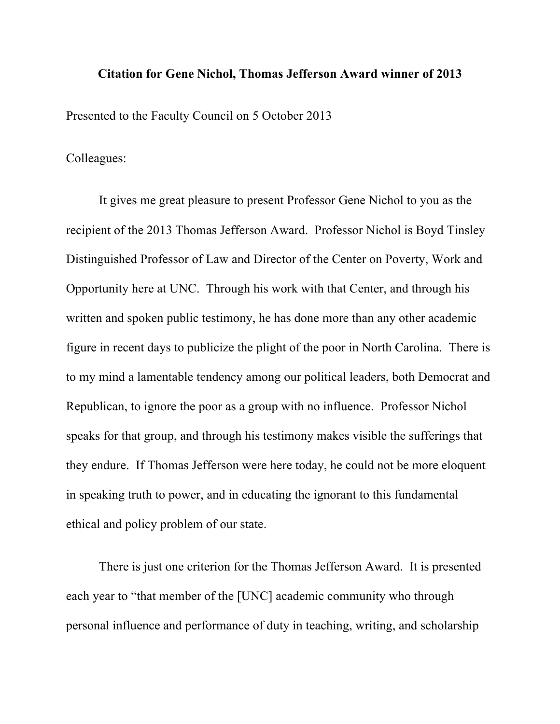## **Citation for Gene Nichol, Thomas Jefferson Award winner of 2013**

Presented to the Faculty Council on 5 October 2013

Colleagues:

It gives me great pleasure to present Professor Gene Nichol to you as the recipient of the 2013 Thomas Jefferson Award. Professor Nichol is Boyd Tinsley Distinguished Professor of Law and Director of the Center on Poverty, Work and Opportunity here at UNC. Through his work with that Center, and through his written and spoken public testimony, he has done more than any other academic figure in recent days to publicize the plight of the poor in North Carolina. There is to my mind a lamentable tendency among our political leaders, both Democrat and Republican, to ignore the poor as a group with no influence. Professor Nichol speaks for that group, and through his testimony makes visible the sufferings that they endure. If Thomas Jefferson were here today, he could not be more eloquent in speaking truth to power, and in educating the ignorant to this fundamental ethical and policy problem of our state.

There is just one criterion for the Thomas Jefferson Award. It is presented each year to "that member of the [UNC] academic community who through personal influence and performance of duty in teaching, writing, and scholarship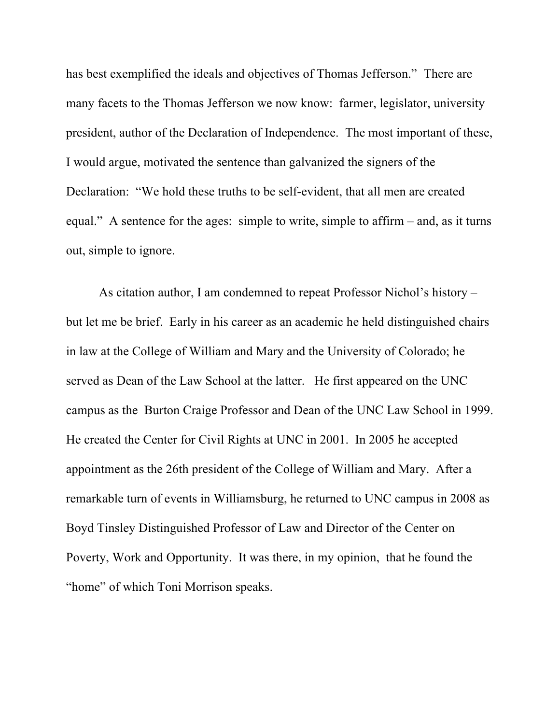has best exemplified the ideals and objectives of Thomas Jefferson." There are many facets to the Thomas Jefferson we now know: farmer, legislator, university president, author of the Declaration of Independence. The most important of these, I would argue, motivated the sentence than galvanized the signers of the Declaration: "We hold these truths to be self-evident, that all men are created equal." A sentence for the ages: simple to write, simple to affirm – and, as it turns out, simple to ignore.

As citation author, I am condemned to repeat Professor Nichol's history – but let me be brief. Early in his career as an academic he held distinguished chairs in law at the College of William and Mary and the University of Colorado; he served as Dean of the Law School at the latter. He first appeared on the UNC campus as the Burton Craige Professor and Dean of the UNC Law School in 1999. He created the Center for Civil Rights at UNC in 2001. In 2005 he accepted appointment as the 26th president of the College of William and Mary. After a remarkable turn of events in Williamsburg, he returned to UNC campus in 2008 as Boyd Tinsley Distinguished Professor of Law and Director of the Center on Poverty, Work and Opportunity. It was there, in my opinion, that he found the "home" of which Toni Morrison speaks.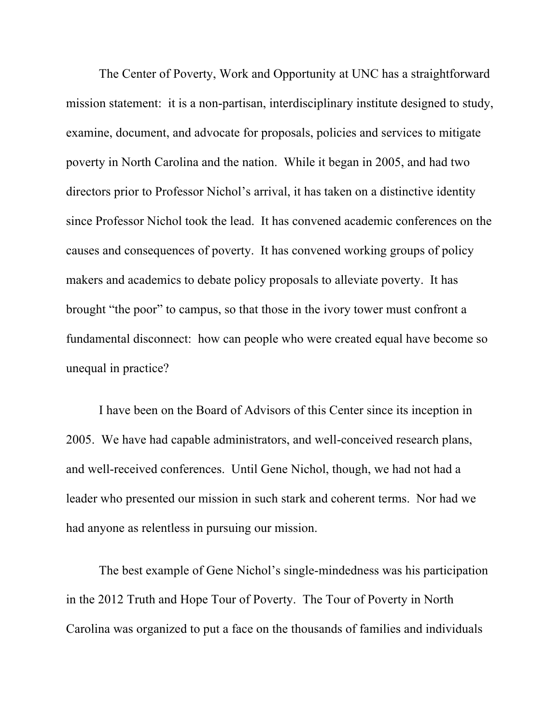The Center of Poverty, Work and Opportunity at UNC has a straightforward mission statement: it is a non-partisan, interdisciplinary institute designed to study, examine, document, and advocate for proposals, policies and services to mitigate poverty in North Carolina and the nation. While it began in 2005, and had two directors prior to Professor Nichol's arrival, it has taken on a distinctive identity since Professor Nichol took the lead. It has convened academic conferences on the causes and consequences of poverty. It has convened working groups of policy makers and academics to debate policy proposals to alleviate poverty. It has brought "the poor" to campus, so that those in the ivory tower must confront a fundamental disconnect: how can people who were created equal have become so unequal in practice?

I have been on the Board of Advisors of this Center since its inception in 2005. We have had capable administrators, and well-conceived research plans, and well-received conferences. Until Gene Nichol, though, we had not had a leader who presented our mission in such stark and coherent terms. Nor had we had anyone as relentless in pursuing our mission.

The best example of Gene Nichol's single-mindedness was his participation in the 2012 Truth and Hope Tour of Poverty. The Tour of Poverty in North Carolina was organized to put a face on the thousands of families and individuals